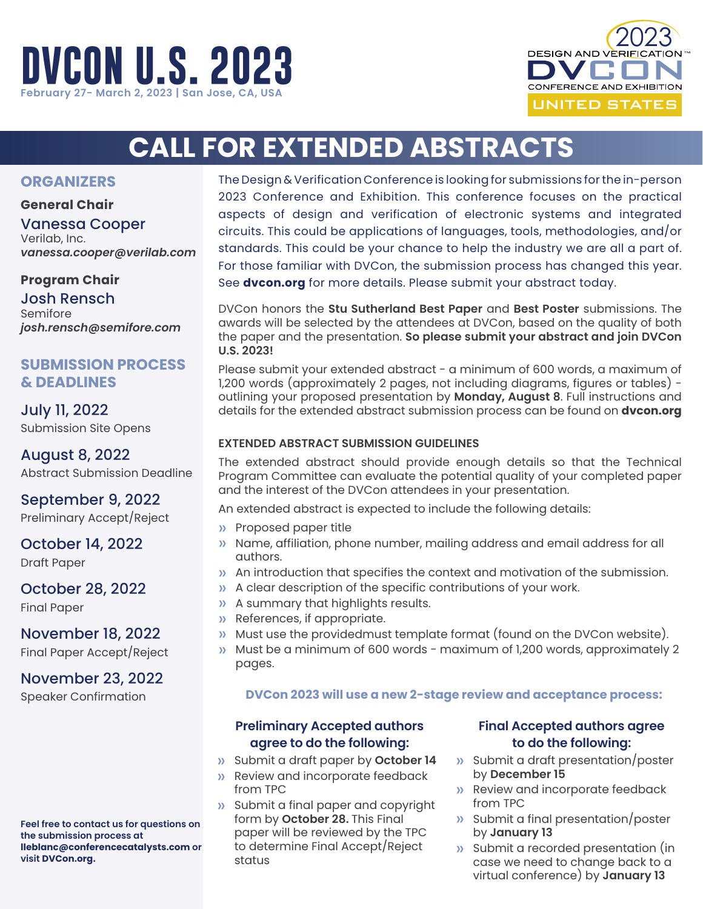



FEBRUARY 27-MARCH 2, 2023

# **CALL FOR EXTENDED ABSTRACTS**

## **ORGANIZERS**

## **General Chair**

Vanessa Cooper Verilab, Inc. *vanessa.cooper@verilab.com*

## **Program Chair**

Josh Rensch Semifore *[josh.rensch@semifore.com](mailto:josh.rensch%40semifore.com%20?subject=)* 

# **SUBMISSION PROCESS & DEADLINES**

July 11, 2022 Submission Site Opens

August 8, 2022 Abstract Submission Deadline

September 9, 2022 Preliminary Accept/Reject

October 14, 2022 Draft Paper

October 28, 2022 Final Paper

November 18, 2022 Final Paper Accept/Reject

# November 23, 2022

Speaker Confirmation

**Feel free to contact us for questions on the submission process at [lleblanc@conferencecatalysts.com](mailto:lleblanc%40conferencecatalysts.com?subject=DVCON%20U.S.%202021) or visit DVCon.org.**

The Design & Verification Conference is looking for submissions for the in-person 2023 Conference and Exhibition. This conference focuses on the practical aspects of design and verification of electronic systems and integrated circuits. This could be applications of languages, tools, methodologies, and/or standards. This could be your chance to help the industry we are all a part of. For those familiar with DVCon, the submission process has changed this year. See **dvcon.org** for more details. Please submit your abstract today.

DVCon honors the **Stu Sutherland Best Paper** and **Best Poster** submissions. The awards will be selected by the attendees at DVCon, based on the quality of both the paper and the presentation. **So please submit your abstract and join DVCon U.S. 2023!**

Please submit your extended abstract - a minimum of 600 words, a maximum of 1,200 words (approximately 2 pages, not including diagrams, figures or tables) outlining your proposed presentation by **Monday, August 8**. Full instructions and details for the extended abstract submission process can be found on **dvcon.org**

## **EXTENDED ABSTRACT SUBMISSION GUIDELINES**

The extended abstract should provide enough details so that the Technical Program Committee can evaluate the potential quality of your completed paper and the interest of the DVCon attendees in your presentation.

An extended abstract is expected to include the following details:

- » Proposed paper title
- » Name, affiliation, phone number, mailing address and email address for all authors.
- » An introduction that specifies the context and motivation of the submission.
- » A clear description of the specific contributions of your work.
- » A summary that highlights results.
- » References, if appropriate.
- » Must use the providedmust template format (found on the DVCon website).
- » Must be a minimum of 600 words maximum of 1,200 words, approximately 2 pages.

*NEW!* **DVCon 2023 will use a new 2-stage review and acceptance process:**

## **Preliminary Accepted authors agree to do the following:**

- » Submit a draft paper by **October 14**
- » Review and incorporate feedback from TPC
- » Submit a final paper and copyright form by **October 28.** This Final paper will be reviewed by the TPC to determine Final Accept/Reject status

## **Final Accepted authors agree to do the following:**

- » Submit a draft presentation/poster by **December 15**
- » Review and incorporate feedback from TPC
- » Submit a final presentation/poster by **January 13**
- » Submit a recorded presentation (in case we need to change back to a virtual conference) by **January 13**